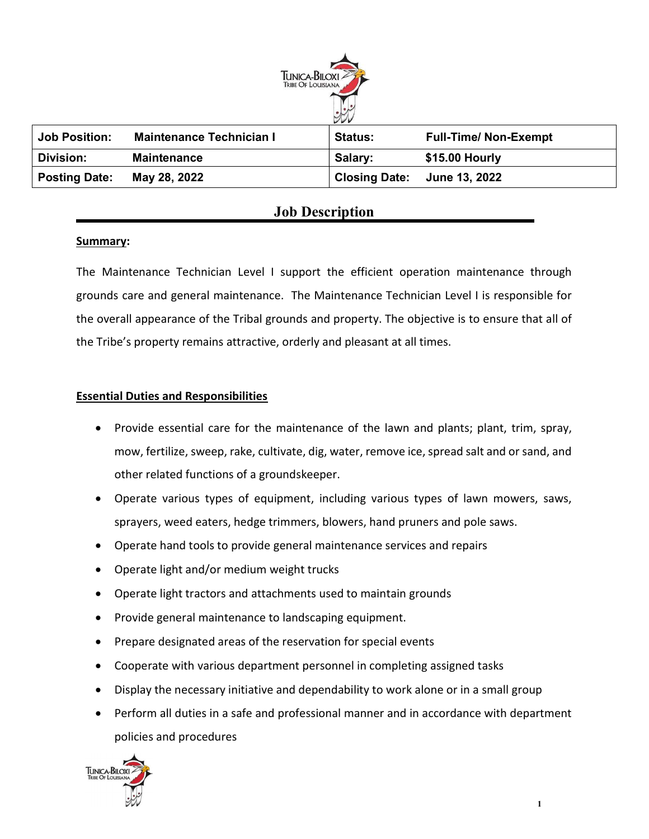

| <b>Job Position:</b> | <b>Maintenance Technician I</b> | <b>Status:</b>       | <b>Full-Time/ Non-Exempt</b> |
|----------------------|---------------------------------|----------------------|------------------------------|
| Division:            | <b>Maintenance</b>              | Salary:              | \$15.00 Hourly               |
| <b>Posting Date:</b> | May 28, 2022                    | <b>Closing Date:</b> | <b>June 13, 2022</b>         |

# Job Description

## Summary:

The Maintenance Technician Level I support the efficient operation maintenance through grounds care and general maintenance. The Maintenance Technician Level I is responsible for the overall appearance of the Tribal grounds and property. The objective is to ensure that all of the Tribe's property remains attractive, orderly and pleasant at all times.

## Essential Duties and Responsibilities

- Provide essential care for the maintenance of the lawn and plants; plant, trim, spray, mow, fertilize, sweep, rake, cultivate, dig, water, remove ice, spread salt and or sand, and other related functions of a groundskeeper.
- Operate various types of equipment, including various types of lawn mowers, saws, sprayers, weed eaters, hedge trimmers, blowers, hand pruners and pole saws.
- Operate hand tools to provide general maintenance services and repairs
- Operate light and/or medium weight trucks
- Operate light tractors and attachments used to maintain grounds
- Provide general maintenance to landscaping equipment.
- Prepare designated areas of the reservation for special events
- Cooperate with various department personnel in completing assigned tasks
- Display the necessary initiative and dependability to work alone or in a small group
- Perform all duties in a safe and professional manner and in accordance with department policies and procedures

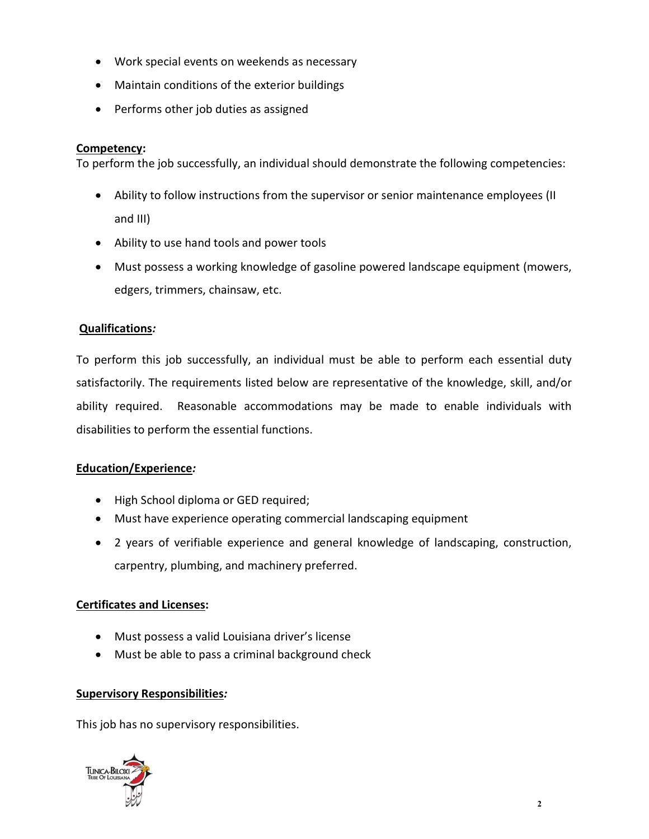- Work special events on weekends as necessary
- Maintain conditions of the exterior buildings
- Performs other job duties as assigned

## Competency:

To perform the job successfully, an individual should demonstrate the following competencies:

- Ability to follow instructions from the supervisor or senior maintenance employees (II and III)
- Ability to use hand tools and power tools
- Must possess a working knowledge of gasoline powered landscape equipment (mowers, edgers, trimmers, chainsaw, etc.

## Qualifications:

To perform this job successfully, an individual must be able to perform each essential duty satisfactorily. The requirements listed below are representative of the knowledge, skill, and/or ability required. Reasonable accommodations may be made to enable individuals with disabilities to perform the essential functions.

#### Education/Experience:

- High School diploma or GED required;
- Must have experience operating commercial landscaping equipment
- 2 years of verifiable experience and general knowledge of landscaping, construction, carpentry, plumbing, and machinery preferred.

#### Certificates and Licenses:

- Must possess a valid Louisiana driver's license
- Must be able to pass a criminal background check

#### Supervisory Responsibilities:

This job has no supervisory responsibilities.

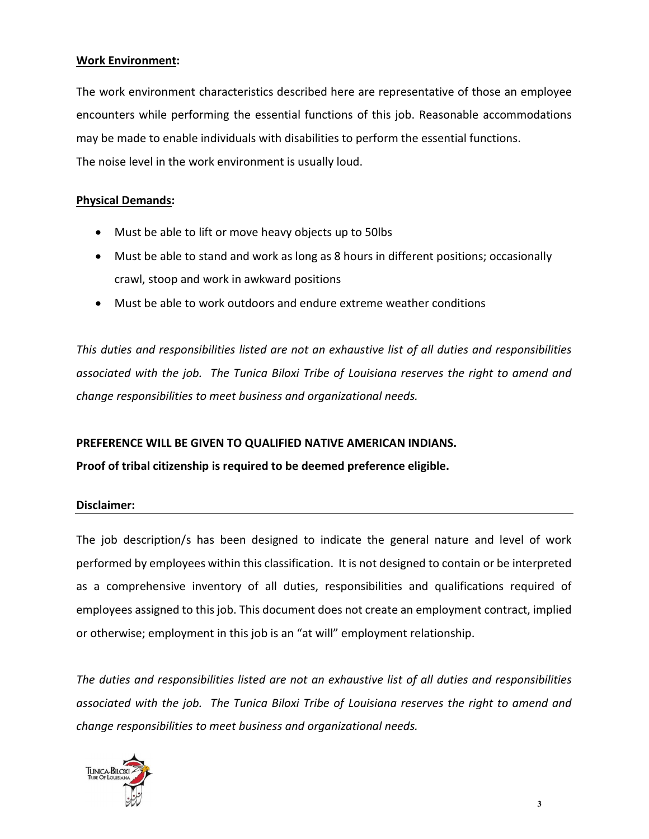#### Work Environment:

The work environment characteristics described here are representative of those an employee encounters while performing the essential functions of this job. Reasonable accommodations may be made to enable individuals with disabilities to perform the essential functions. The noise level in the work environment is usually loud.

#### Physical Demands:

- Must be able to lift or move heavy objects up to 50lbs
- Must be able to stand and work as long as 8 hours in different positions; occasionally crawl, stoop and work in awkward positions
- Must be able to work outdoors and endure extreme weather conditions

This duties and responsibilities listed are not an exhaustive list of all duties and responsibilities associated with the job. The Tunica Biloxi Tribe of Louisiana reserves the right to amend and change responsibilities to meet business and organizational needs.

## PREFERENCE WILL BE GIVEN TO QUALIFIED NATIVE AMERICAN INDIANS.

## Proof of tribal citizenship is required to be deemed preference eligible.

#### Disclaimer:

The job description/s has been designed to indicate the general nature and level of work performed by employees within this classification. It is not designed to contain or be interpreted as a comprehensive inventory of all duties, responsibilities and qualifications required of employees assigned to this job. This document does not create an employment contract, implied or otherwise; employment in this job is an "at will" employment relationship.

The duties and responsibilities listed are not an exhaustive list of all duties and responsibilities associated with the job. The Tunica Biloxi Tribe of Louisiana reserves the right to amend and change responsibilities to meet business and organizational needs.

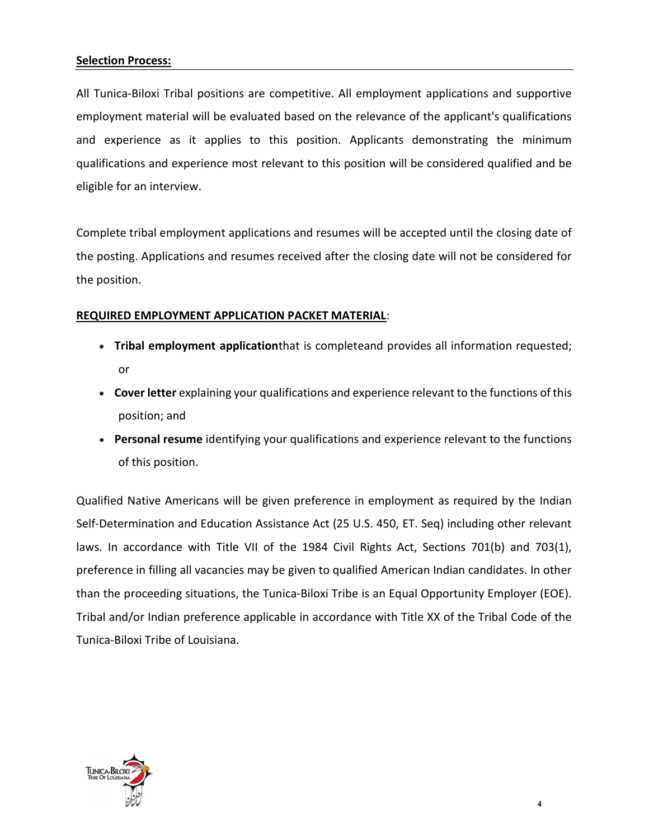#### Selection Process:

All Tunica-Biloxi Tribal positions are competitive. All employment applications and supportive employment material will be evaluated based on the relevance of the applicant's qualifications and experience as it applies to this position. Applicants demonstrating the minimum qualifications and experience most relevant to this position will be considered qualified and be eligible for an interview.

Complete tribal employment applications and resumes will be accepted until the closing date of the posting. Applications and resumes received after the closing date will not be considered for the position.

#### REQUIRED EMPLOYMENT APPLICATION PACKET MATERIAL:

- Tribal employment applicationthat is completeand provides all information requested; or
- Cover letter explaining your qualifications and experience relevant to the functions of this position; and
- Personal resume identifying your qualifications and experience relevant to the functions of this position.

Qualified Native Americans will be given preference in employment as required by the Indian Self-Determination and Education Assistance Act (25 U.S. 450, ET. Seq) including other relevant laws. In accordance with Title VII of the 1984 Civil Rights Act, Sections 701(b) and 703(1), preference in filling all vacancies may be given to qualified American Indian candidates. In other than the proceeding situations, the Tunica-Biloxi Tribe is an Equal Opportunity Employer (EOE). Tribal and/or Indian preference applicable in accordance with Title XX of the Tribal Code of the Tunica-Biloxi Tribe of Louisiana.